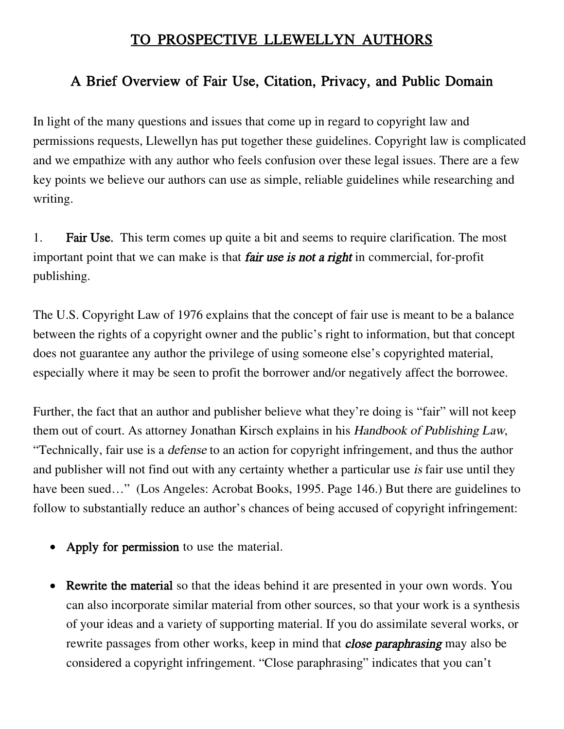## TO PROSPECTIVE LLEWELLYN AUTHORS

## A Brief Overview of Fair Use, Citation, Privacy, and Public Domain

In light of the many questions and issues that come up in regard to copyright law and permissions requests, Llewellyn has put together these guidelines. Copyright law is complicated and we empathize with any author who feels confusion over these legal issues. There are a few key points we believe our authors can use as simple, reliable guidelines while researching and writing.

1. Fair Use. This term comes up quite a bit and seems to require clarification. The most important point that we can make is that **fair use is not a right** in commercial, for-profit publishing.

The U.S. Copyright Law of 1976 explains that the concept of fair use is meant to be a balance between the rights of a copyright owner and the public's right to information, but that concept does not guarantee any author the privilege of using someone else's copyrighted material, especially where it may be seen to profit the borrower and/or negatively affect the borrowee.

Further, the fact that an author and publisher believe what they're doing is "fair" will not keep them out of court. As attorney Jonathan Kirsch explains in his Handbook of Publishing Law, "Technically, fair use is a defense to an action for copyright infringement, and thus the author and publisher will not find out with any certainty whether a particular use is fair use until they have been sued..." (Los Angeles: Acrobat Books, 1995. Page 146.) But there are guidelines to follow to substantially reduce an author's chances of being accused of copyright infringement:

- Apply for permission to use the material.
- Rewrite the material so that the ideas behind it are presented in your own words. You can also incorporate similar material from other sources, so that your work is a synthesis of your ideas and a variety of supporting material. If you do assimilate several works, or rewrite passages from other works, keep in mind that *close paraphrasing* may also be considered a copyright infringement. "Close paraphrasing" indicates that you can't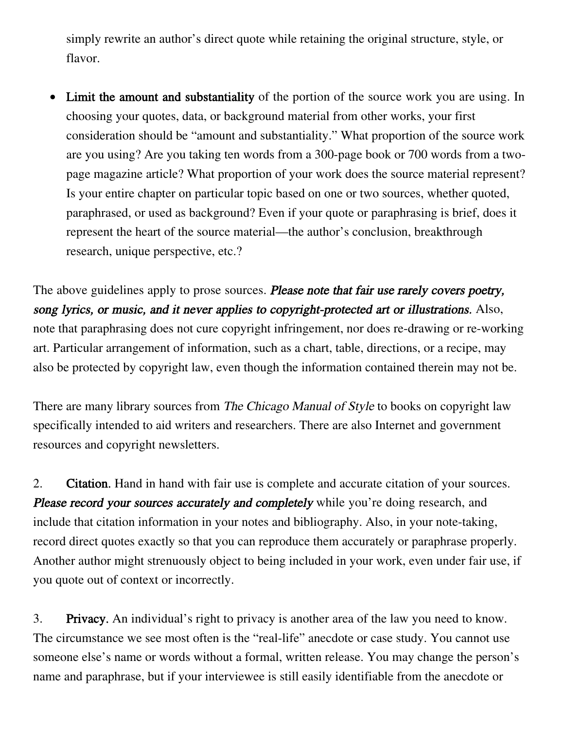simply rewrite an author's direct quote while retaining the original structure, style, or flavor.

• Limit the amount and substantiality of the portion of the source work you are using. In choosing your quotes, data, or background material from other works, your first consideration should be "amount and substantiality." What proportion of the source work are you using? Are you taking ten words from a 300-page book or 700 words from a twopage magazine article? What proportion of your work does the source material represent? Is your entire chapter on particular topic based on one or two sources, whether quoted, paraphrased, or used as background? Even if your quote or paraphrasing is brief, does it represent the heart of the source material—the author's conclusion, breakthrough research, unique perspective, etc.?

The above guidelines apply to prose sources. Please note that fair use rarely covers poetry, song lyrics, or music, and it never applies to copyright-protected art or illustrations. Also, note that paraphrasing does not cure copyright infringement, nor does re-drawing or re-working art. Particular arrangement of information, such as a chart, table, directions, or a recipe, may also be protected by copyright law, even though the information contained therein may not be.

There are many library sources from The Chicago Manual of Style to books on copyright law specifically intended to aid writers and researchers. There are also Internet and government resources and copyright newsletters.

2. Citation. Hand in hand with fair use is complete and accurate citation of your sources. Please record your sources accurately and completely while you're doing research, and include that citation information in your notes and bibliography. Also, in your note-taking, record direct quotes exactly so that you can reproduce them accurately or paraphrase properly. Another author might strenuously object to being included in your work, even under fair use, if you quote out of context or incorrectly.

3. Privacy. An individual's right to privacy is another area of the law you need to know. The circumstance we see most often is the "real-life" anecdote or case study. You cannot use someone else's name or words without a formal, written release. You may change the person's name and paraphrase, but if your interviewee is still easily identifiable from the anecdote or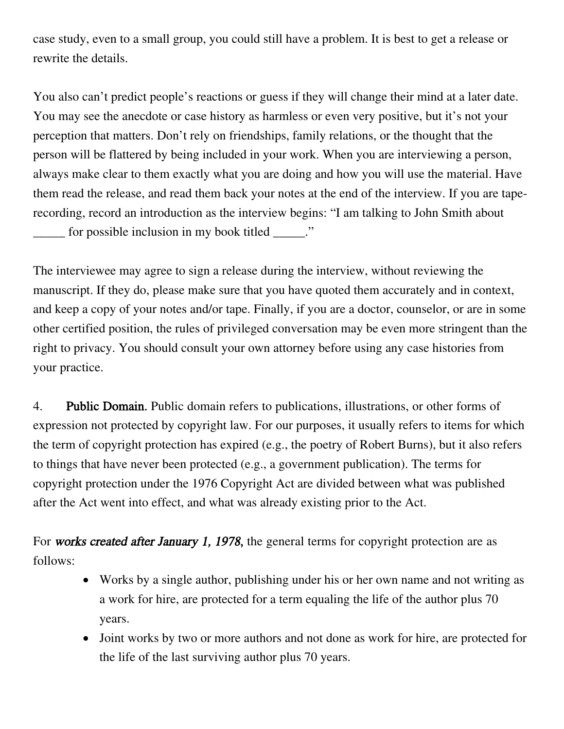case study, even to a small group, you could still have a problem. It is best to get a release or rewrite the details.

You also can't predict people's reactions or guess if they will change their mind at a later date. You may see the anecdote or case history as harmless or even very positive, but it's not your perception that matters. Don't rely on friendships, family relations, or the thought that the person will be flattered by being included in your work. When you are interviewing a person, always make clear to them exactly what you are doing and how you will use the material. Have them read the release, and read them back your notes at the end of the interview. If you are taperecording, record an introduction as the interview begins: "I am talking to John Smith about \_\_\_\_\_ for possible inclusion in my book titled \_\_\_\_\_."

The interviewee may agree to sign a release during the interview, without reviewing the manuscript. If they do, please make sure that you have quoted them accurately and in context, and keep a copy of your notes and/or tape. Finally, if you are a doctor, counselor, or are in some other certified position, the rules of privileged conversation may be even more stringent than the right to privacy. You should consult your own attorney before using any case histories from your practice.

4. Public Domain. Public domain refers to publications, illustrations, or other forms of expression not protected by copyright law. For our purposes, it usually refers to items for which the term of copyright protection has expired (e.g., the poetry of Robert Burns), but it also refers to things that have never been protected (e.g., a government publication). The terms for copyright protection under the 1976 Copyright Act are divided between what was published after the Act went into effect, and what was already existing prior to the Act.

For works created after January 1, 1978, the general terms for copyright protection are as follows:

- Works by a single author, publishing under his or her own name and not writing as a work for hire, are protected for a term equaling the life of the author plus 70 years.
- Joint works by two or more authors and not done as work for hire, are protected for the life of the last surviving author plus 70 years.